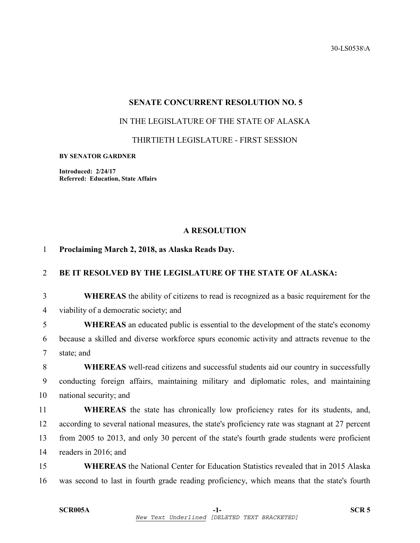30-LS0538\A

#### **SENATE CONCURRENT RESOLUTION NO. 5**

### IN THE LEGISLATURE OF THE STATE OF ALASKA

THIRTIETH LEGISLATURE - FIRST SESSION

#### **BY SENATOR GARDNER**

**Introduced: 2/24/17 Referred: Education, State Affairs** 

## **A RESOLUTION**

## 1 **Proclaiming March 2, 2018, as Alaska Reads Day.**

# 2 **BE IT RESOLVED BY THE LEGISLATURE OF THE STATE OF ALASKA:**

3 **WHEREAS** the ability of citizens to read is recognized as a basic requirement for the 4 viability of a democratic society; and

5 **WHEREAS** an educated public is essential to the development of the state's economy 6 because a skilled and diverse workforce spurs economic activity and attracts revenue to the 7 state; and

8 **WHEREAS** well-read citizens and successful students aid our country in successfully 9 conducting foreign affairs, maintaining military and diplomatic roles, and maintaining 10 national security; and

11 **WHEREAS** the state has chronically low proficiency rates for its students, and, 12 according to several national measures, the state's proficiency rate was stagnant at 27 percent 13 from 2005 to 2013, and only 30 percent of the state's fourth grade students were proficient 14 readers in 2016; and

15 **WHEREAS** the National Center for Education Statistics revealed that in 2015 Alaska 16 was second to last in fourth grade reading proficiency, which means that the state's fourth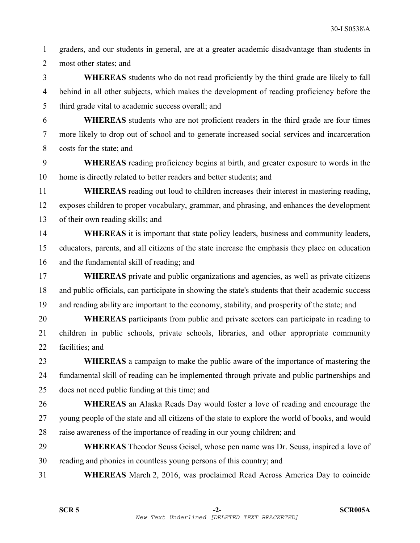1 graders, and our students in general, are at a greater academic disadvantage than students in 2 most other states; and

3 **WHEREAS** students who do not read proficiently by the third grade are likely to fall 4 behind in all other subjects, which makes the development of reading proficiency before the 5 third grade vital to academic success overall; and

6 **WHEREAS** students who are not proficient readers in the third grade are four times 7 more likely to drop out of school and to generate increased social services and incarceration 8 costs for the state; and

9 **WHEREAS** reading proficiency begins at birth, and greater exposure to words in the 10 home is directly related to better readers and better students; and

11 **WHEREAS** reading out loud to children increases their interest in mastering reading, 12 exposes children to proper vocabulary, grammar, and phrasing, and enhances the development 13 of their own reading skills; and

14 **WHEREAS** it is important that state policy leaders, business and community leaders, 15 educators, parents, and all citizens of the state increase the emphasis they place on education 16 and the fundamental skill of reading; and

17 **WHEREAS** private and public organizations and agencies, as well as private citizens 18 and public officials, can participate in showing the state's students that their academic success 19 and reading ability are important to the economy, stability, and prosperity of the state; and

20 **WHEREAS** participants from public and private sectors can participate in reading to 21 children in public schools, private schools, libraries, and other appropriate community 22 facilities; and

23 **WHEREAS** a campaign to make the public aware of the importance of mastering the 24 fundamental skill of reading can be implemented through private and public partnerships and 25 does not need public funding at this time; and

26 **WHEREAS** an Alaska Reads Day would foster a love of reading and encourage the 27 young people of the state and all citizens of the state to explore the world of books, and would 28 raise awareness of the importance of reading in our young children; and

29 **WHEREAS** Theodor Seuss Geisel, whose pen name was Dr. Seuss, inspired a love of 30 reading and phonics in countless young persons of this country; and

31 **WHEREAS** March 2, 2016, was proclaimed Read Across America Day to coincide